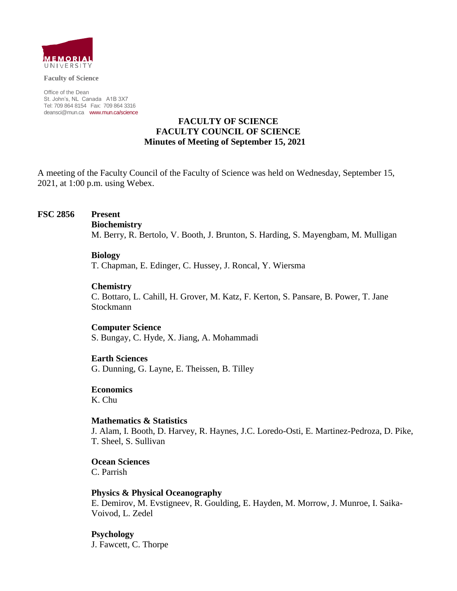

**Faculty of Science**

Office of the Dean St. John's, NL Canada A1B 3X7 Tel: 709 864 8154 Fax: 709 864 3316 [deansci@mun.ca](mailto:deansci@mun.ca) [www.mun.ca/science](http://www.mun.ca/science)

## **FACULTY OF SCIENCE FACULTY COUNCIL OF SCIENCE Minutes of Meeting of September 15, 2021**

A meeting of the Faculty Council of the Faculty of Science was held on Wednesday, September 15, 2021, at 1:00 p.m. using Webex.

### **FSC 2856 Present**

#### **Biochemistry**

M. Berry, R. Bertolo, V. Booth, J. Brunton, S. Harding, S. Mayengbam, M. Mulligan

#### **Biology**

T. Chapman, E. Edinger, C. Hussey, J. Roncal, Y. Wiersma

### **Chemistry**

C. Bottaro, L. Cahill, H. Grover, M. Katz, F. Kerton, S. Pansare, B. Power, T. Jane Stockmann

#### **Computer Science**

S. Bungay, C. Hyde, X. Jiang, A. Mohammadi

#### **Earth Sciences**

G. Dunning, G. Layne, E. Theissen, B. Tilley

### **Economics**

K. Chu

### **Mathematics & Statistics**

J. Alam, I. Booth, D. Harvey, R. Haynes, J.C. Loredo-Osti, E. Martinez-Pedroza, D. Pike, T. Sheel, S. Sullivan

**Ocean Sciences** C. Parrish

### **Physics & Physical Oceanography**

E. Demirov, M. Evstigneev, R. Goulding, E. Hayden, M. Morrow, J. Munroe, I. Saika-Voivod, L. Zedel

### **Psychology**

J. Fawcett, C. Thorpe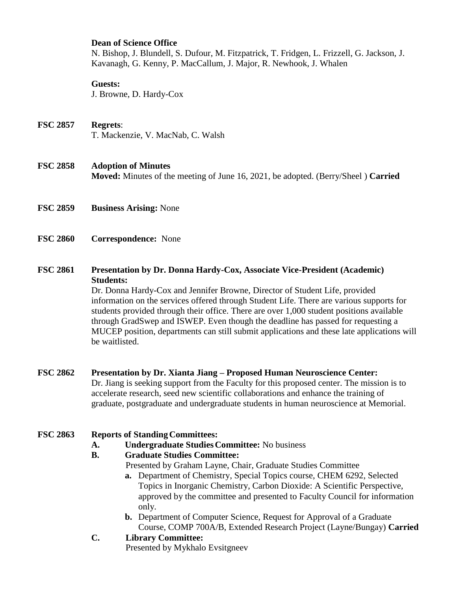## **Dean of Science Office**

N. Bishop, J. Blundell, S. Dufour, M. Fitzpatrick, T. Fridgen, L. Frizzell, G. Jackson, J. Kavanagh, G. Kenny, P. MacCallum, J. Major, R. Newhook, J. Whalen

### **Guests:**

J. Browne, D. Hardy-Cox

# **FSC 2857 Regrets**: T. Mackenzie, V. MacNab, C. Walsh

## **FSC 2858 Adoption of Minutes**

**Moved:** Minutes of the meeting of June 16, 2021, be adopted. (Berry/Sheel ) **Carried**

- **FSC 2859 Business Arising:** None
- **FSC 2860 Correspondence:** None

## **FSC 2861 Presentation by Dr. Donna Hardy-Cox, Associate Vice-President (Academic) Students:**

Dr. Donna Hardy-Cox and Jennifer Browne, Director of Student Life, provided information on the services offered through Student Life. There are various supports for students provided through their office. There are over 1,000 student positions available through GradSwep and ISWEP. Even though the deadline has passed for requesting a MUCEP position, departments can still submit applications and these late applications will be waitlisted.

## **FSC 2862 Presentation by Dr. Xianta Jiang – Proposed Human Neuroscience Center:**

Dr. Jiang is seeking support from the Faculty for this proposed center. The mission is to accelerate research, seed new scientific collaborations and enhance the training of graduate, postgraduate and undergraduate students in human neuroscience at Memorial.

## **FSC 2863 Reports of StandingCommittees:**

## **A. Undergraduate StudiesCommittee:** No business

## **B. Graduate Studies Committee:**

Presented by Graham Layne, Chair, Graduate Studies Committee

- **a.** Department of Chemistry, Special Topics course, CHEM 6292, Selected Topics in Inorganic Chemistry, Carbon Dioxide: A Scientific Perspective, approved by the committee and presented to Faculty Council for information only.
- **b.** Department of Computer Science, Request for Approval of a Graduate Course, COMP 700A/B, Extended Research Project (Layne/Bungay) **Carried**

# **C. Library Committee:**

Presented by Mykhalo Evsitgneev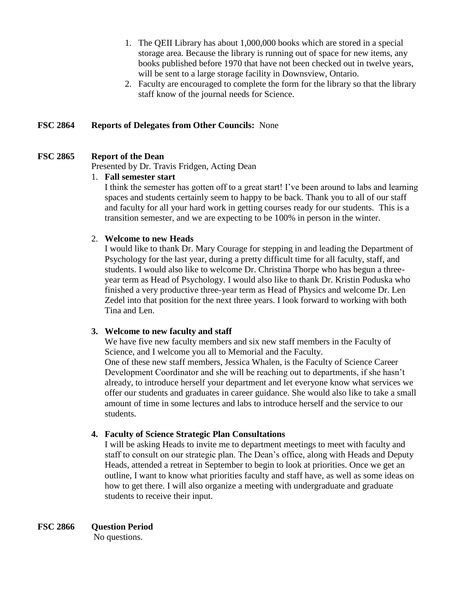- 1. The QEII Library has about 1,000,000 books which are stored in a special storage area. Because the library is running out of space for new items, any books published before 1970 that have not been checked out in twelve years, will be sent to a large storage facility in Downsview, Ontario.
- 2. Faculty are encouraged to complete the form for the library so that the library staff know of the journal needs for Science.

## **FSC 2864 Reports of Delegates from Other Councils:** None

## **FSC 2865 Report of the Dean**

Presented by Dr. Travis Fridgen, Acting Dean

## 1. **Fall semester start**

I think the semester has gotten off to a great start! I've been around to labs and learning spaces and students certainly seem to happy to be back. Thank you to all of our staff and faculty for all your hard work in getting courses ready for our students. This is a transition semester, and we are expecting to be 100% in person in the winter.

## 2. **Welcome to new Heads**

I would like to thank Dr. Mary Courage for stepping in and leading the Department of Psychology for the last year, during a pretty difficult time for all faculty, staff, and students. I would also like to welcome Dr. Christina Thorpe who has begun a threeyear term as Head of Psychology. I would also like to thank Dr. Kristin Poduska who finished a very productive three-year term as Head of Physics and welcome Dr. Len Zedel into that position for the next three years. I look forward to working with both Tina and Len.

## **3. Welcome to new faculty and staff**

We have five new faculty members and six new staff members in the Faculty of Science, and I welcome you all to Memorial and the Faculty. One of these new staff members, Jessica Whalen, is the Faculty of Science Career Development Coordinator and she will be reaching out to departments, if she hasn't already, to introduce herself your department and let everyone know what services we offer our students and graduates in career guidance. She would also like to take a small amount of time in some lectures and labs to introduce herself and the service to our students.

## **4. Faculty of Science Strategic Plan Consultations**

I will be asking Heads to invite me to department meetings to meet with faculty and staff to consult on our strategic plan. The Dean's office, along with Heads and Deputy Heads, attended a retreat in September to begin to look at priorities. Once we get an outline, I want to know what priorities faculty and staff have, as well as some ideas on how to get there. I will also organize a meeting with undergraduate and graduate students to receive their input.

**FSC 2866 Question Period** No questions.